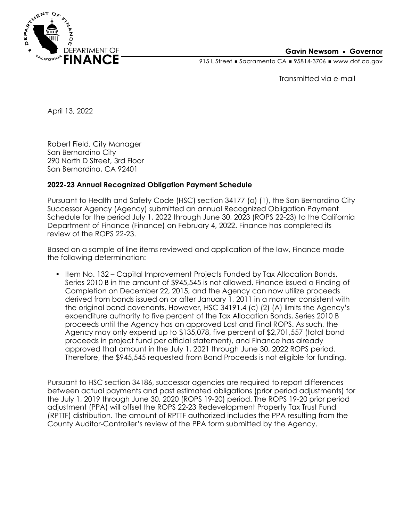

## **Gavin Newsom • Governor**

915 L Street Gacramento CA = 95814-3706 Www.dof.ca.gov

Transmitted via e-mail

April 13, 2022

Robert Field, City Manager San Bernardino City 290 North D Street, 3rd Floor San Bernardino, CA 92401

## **2022-23 Annual Recognized Obligation Payment Schedule**

Pursuant to Health and Safety Code (HSC) section 34177 (o) (1), the San Bernardino City Successor Agency (Agency) submitted an annual Recognized Obligation Payment Schedule for the period July 1, 2022 through June 30, 2023 (ROPS 22-23) to the California Department of Finance (Finance) on February 4, 2022. Finance has completed its review of the ROPS 22-23.

Based on a sample of line items reviewed and application of the law, Finance made the following determination:

• Item No. 132 – Capital Improvement Projects Funded by Tax Allocation Bonds, Series 2010 B in the amount of \$945,545 is not allowed. Finance issued a Finding of Completion on December 22, 2015, and the Agency can now utilize proceeds derived from bonds issued on or after January 1, 2011 in a manner consistent with the original bond covenants. However, HSC 34191.4 (c) (2) (A) limits the Agency's expenditure authority to five percent of the Tax Allocation Bonds, Series 2010 B proceeds until the Agency has an approved Last and Final ROPS. As such, the Agency may only expend up to \$135,078, five percent of \$2,701,557 (total bond proceeds in project fund per official statement), and Finance has already approved that amount in the July 1, 2021 through June 30, 2022 ROPS period. Therefore, the \$945,545 requested from Bond Proceeds is not eligible for funding.

Pursuant to HSC section 34186, successor agencies are required to report differences between actual payments and past estimated obligations (prior period adjustments) for the July 1, 2019 through June 30, 2020 (ROPS 19-20) period. The ROPS 19-20 prior period adjustment (PPA) will offset the ROPS 22-23 Redevelopment Property Tax Trust Fund (RPTTF) distribution. The amount of RPTTF authorized includes the PPA resulting from the County Auditor-Controller's review of the PPA form submitted by the Agency.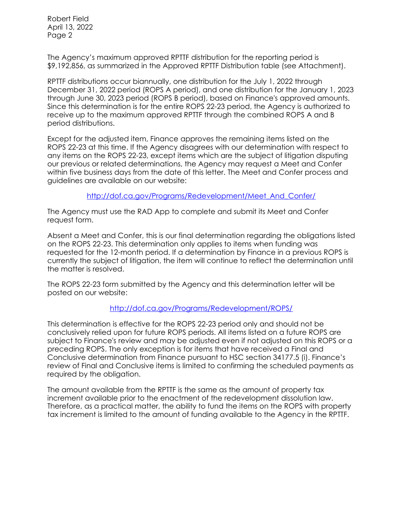Robert Field April 13, 2022 Page 2

The Agency's maximum approved RPTTF distribution for the reporting period is \$9,192,856, as summarized in the Approved RPTTF Distribution table (see Attachment).

RPTTF distributions occur biannually, one distribution for the July 1, 2022 through December 31, 2022 period (ROPS A period), and one distribution for the January 1, 2023 through June 30, 2023 period (ROPS B period), based on Finance's approved amounts. Since this determination is for the entire ROPS 22-23 period, the Agency is authorized to receive up to the maximum approved RPTTF through the combined ROPS A and B period distributions.

Except for the adjusted item, Finance approves the remaining items listed on the ROPS 22-23 at this time. If the Agency disagrees with our determination with respect to any items on the ROPS 22-23, except items which are the subject of litigation disputing our previous or related determinations, the Agency may request a Meet and Confer within five business days from the date of this letter. The Meet and Confer process and guidelines are available on our website:

[http://dof.ca.gov/Programs/Redevelopment/Meet\\_And\\_Confer/](http://dof.ca.gov/Programs/Redevelopment/Meet_And_Confer/) 

The Agency must use the RAD App to complete and submit its Meet and Confer request form.

Absent a Meet and Confer, this is our final determination regarding the obligations listed on the ROPS 22-23. This determination only applies to items when funding was requested for the 12-month period. If a determination by Finance in a previous ROPS is currently the subject of litigation, the item will continue to reflect the determination until the matter is resolved.

The ROPS 22-23 form submitted by the Agency and this determination letter will be posted on our website:

## <http://dof.ca.gov/Programs/Redevelopment/ROPS/>

This determination is effective for the ROPS 22-23 period only and should not be conclusively relied upon for future ROPS periods. All items listed on a future ROPS are subject to Finance's review and may be adjusted even if not adjusted on this ROPS or a preceding ROPS. The only exception is for items that have received a Final and Conclusive determination from Finance pursuant to HSC section 34177.5 (i). Finance's review of Final and Conclusive items is limited to confirming the scheduled payments as required by the obligation.

The amount available from the RPTTF is the same as the amount of property tax increment available prior to the enactment of the redevelopment dissolution law. Therefore, as a practical matter, the ability to fund the items on the ROPS with property tax increment is limited to the amount of funding available to the Agency in the RPTTF.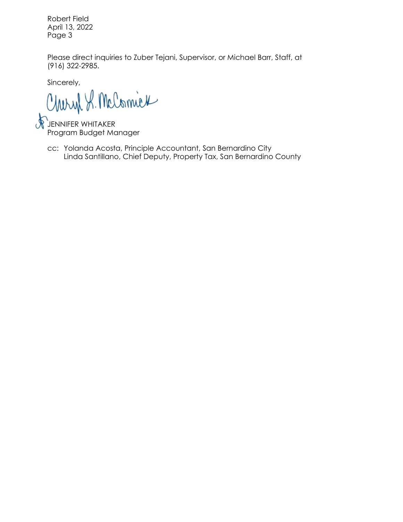Robert Field April 13, 2022 Page 3

Please direct inquiries to Zuber Tejani, Supervisor, or Michael Barr, Staff, at (916) 322-2985.

Sincerely,

Charyl S. McComick

JENNIFER WHITAKER Program Budget Manager

cc: Yolanda Acosta, Principle Accountant, San Bernardino City Linda Santillano, Chief Deputy, Property Tax, San Bernardino County